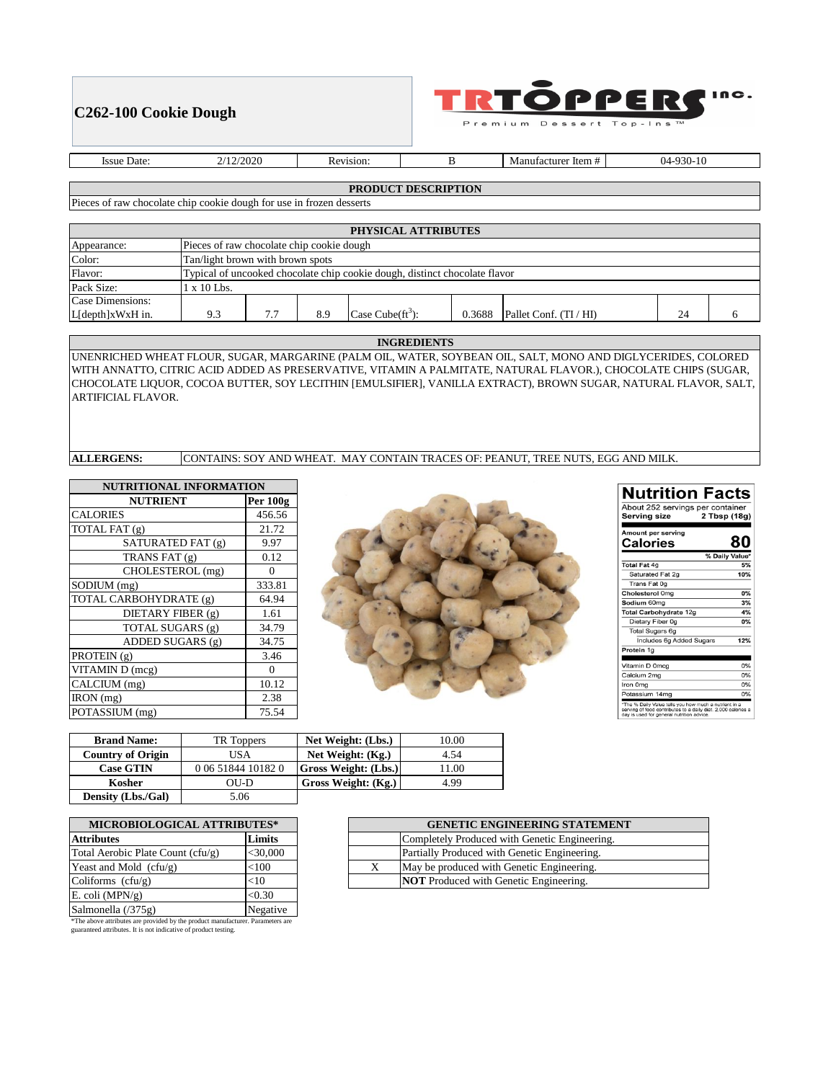## **C262-100 Cookie Dough**



Premium Dessert  $To p - In s$ 

Issue Date: 2/12/2020 Revision: B

Manufacturer Item # 04-930-10

## **PRODUCT DESCRIPTION**

Pieces of raw chocolate chip cookie dough for use in frozen desserts

| PHYSICAL ATTRIBUTES |                                                                            |  |     |                      |        |                        |    |  |
|---------------------|----------------------------------------------------------------------------|--|-----|----------------------|--------|------------------------|----|--|
| Appearance:         | Pieces of raw chocolate chip cookie dough                                  |  |     |                      |        |                        |    |  |
| Color:              | Tan/light brown with brown spots                                           |  |     |                      |        |                        |    |  |
| Flavor:             | Typical of uncooked chocolate chip cookie dough, distinct chocolate flavor |  |     |                      |        |                        |    |  |
| Pack Size:          | $x 10$ Lbs.                                                                |  |     |                      |        |                        |    |  |
| Case Dimensions:    |                                                                            |  |     |                      |        |                        |    |  |
| L[depth]xWxH in.    | 9.3                                                                        |  | 8.9 | Case Cube $(ft^3)$ : | 0.3688 | Pallet Conf. (TI / HI) | 24 |  |

#### **INGREDIENTS**

UNENRICHED WHEAT FLOUR, SUGAR, MARGARINE (PALM OIL, WATER, SOYBEAN OIL, SALT, MONO AND DIGLYCERIDES, COLORED WITH ANNATTO, CITRIC ACID ADDED AS PRESERVATIVE, VITAMIN A PALMITATE, NATURAL FLAVOR.), CHOCOLATE CHIPS (SUGAR, CHOCOLATE LIQUOR, COCOA BUTTER, SOY LECITHIN [EMULSIFIER], VANILLA EXTRACT), BROWN SUGAR, NATURAL FLAVOR, SALT, ARTIFICIAL FLAVOR.

**ALLERGENS:** CONTAINS: SOY AND WHEAT. MAY CONTAIN TRACES OF: PEANUT, TREE NUTS, EGG AND MILK.

| <b>NUTRITIONAL INFORMATION</b> |          |  |  |
|--------------------------------|----------|--|--|
| <b>NUTRIENT</b>                | Per 100g |  |  |
| <b>CALORIES</b>                | 456.56   |  |  |
| TOTAL FAT (g)                  | 21.72    |  |  |
| SATURATED FAT (g)              | 9.97     |  |  |
| TRANS FAT (g)                  | 0.12     |  |  |
| CHOLESTEROL (mg)               | 0        |  |  |
| SODIUM (mg)                    | 333.81   |  |  |
| TOTAL CARBOHYDRATE (g)         | 64.94    |  |  |
| DIETARY FIBER (g)              | 1.61     |  |  |
| TOTAL SUGARS (g)               | 34.79    |  |  |
| ADDED SUGARS (g)               | 34.75    |  |  |
| PROTEIN (g)                    | 3.46     |  |  |
| VITAMIN D (mcg)                | 0        |  |  |
| CALCIUM (mg)                   | 10.12    |  |  |
| IRON (mg)                      | 2.38     |  |  |
| POTASSIUM (mg)                 | 75.54    |  |  |



| <b>Nutrition Facts</b>                                                                                                                                              |                |
|---------------------------------------------------------------------------------------------------------------------------------------------------------------------|----------------|
| About 252 servings per container<br>Serving size                                                                                                                    | 2 Tbsp (18g)   |
| Amount per serving<br>Calories                                                                                                                                      | 80             |
|                                                                                                                                                                     | % Daily Value* |
| <b>Total Fat 4g</b>                                                                                                                                                 | 5%             |
| Saturated Fat 2g                                                                                                                                                    | 10%            |
| Trans Fat 0g                                                                                                                                                        |                |
| Cholesterol 0mg                                                                                                                                                     | 0%             |
| Sodium 60mg                                                                                                                                                         | 3%             |
| Total Carbohydrate 12g                                                                                                                                              | 4%             |
| Dietary Fiber 0g                                                                                                                                                    | <b>0%</b>      |
| Total Sugars 6g                                                                                                                                                     |                |
| Includes 6g Added Sugars                                                                                                                                            | 12%            |
| Protein 1g                                                                                                                                                          |                |
|                                                                                                                                                                     |                |
| Vitamin D 0mcg                                                                                                                                                      | 0%             |
| Calcium 2mg                                                                                                                                                         | 0%             |
| Iron 0mg                                                                                                                                                            | 0%             |
| Potassium 14mg                                                                                                                                                      | 0%             |
| *The % Daily Value tells you how much a nutrient in a<br>serving of food contributes to a daily diet. 2,000 calories a<br>day is used for general nutrition advice. |                |

| <b>Brand Name:</b>        | TR Toppers         | Net Weight: (Lbs.)          | 10.00 |
|---------------------------|--------------------|-----------------------------|-------|
| <b>Country of Origin</b>  | USA                | Net Weight: (Kg.)           | 4.54  |
| <b>Case GTIN</b>          | 0 06 51844 10182 0 | <b>Gross Weight: (Lbs.)</b> | 11.00 |
| Kosher                    | $O$ U-D            | Gross Weight: (Kg.)         | 4.99  |
| <b>Density (Lbs./Gal)</b> | 5.06               |                             |       |

| <b>MICROBIOLOGICAL ATTRIBUTES*</b> |            |  |  |
|------------------------------------|------------|--|--|
| <b>Attributes</b>                  | Limits     |  |  |
| Total Aerobic Plate Count (cfu/g)  | $<$ 30,000 |  |  |
| Yeast and Mold $(cfu/g)$           | $<$ 100    |  |  |
| Coliforms $(cfu/g)$                | <10        |  |  |
| E. coli $(MPN/g)$                  | < 0.30     |  |  |
| Salmonella (/375g)                 | Negative   |  |  |

\*The above attributes are provided by the product manufacturer. Parameters are guaranteed attributes. It is not indicative of product testing.

**GENETIC ENGINEERING STATEMENT** Completely Produced with Genetic Engineering. Partially Produced with Genetic Engineering. May be produced with Genetic Engineering. **NOT** Produced with Genetic Engineering.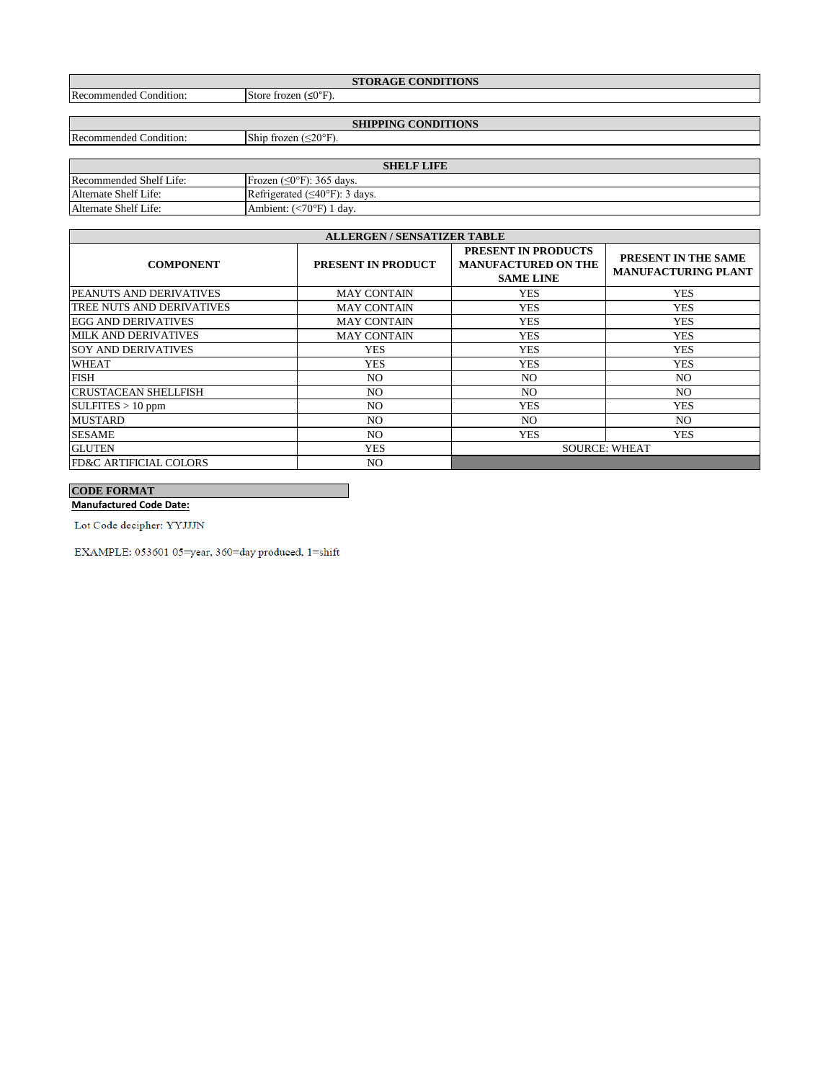| <b>STORAGE CONDITIONS</b>                |                             |  |  |  |
|------------------------------------------|-----------------------------|--|--|--|
| .<br>$\sim$<br>Recommended<br>Condition: | Store frozen $(\leq 0$ °F). |  |  |  |

Recommended Condition: Ship frozen (≤20°F).

**SHIPPING CONDITIONS**

| <b>SHELF LIFE</b>       |                                             |  |  |
|-------------------------|---------------------------------------------|--|--|
| Recommended Shelf Life: | Frozen $(\leq 0^{\circ}$ F): 365 days.      |  |  |
| Alternate Shelf Life:   | Refrigerated $(\leq 40^{\circ}$ F): 3 days. |  |  |
| Alternate Shelf Life:   | Ambient: $(<70°F)$ 1 day.                   |  |  |

| <b>ALLERGEN / SENSATIZER TABLE</b> |                           |                                                                              |                                                   |  |
|------------------------------------|---------------------------|------------------------------------------------------------------------------|---------------------------------------------------|--|
| <b>COMPONENT</b>                   | <b>PRESENT IN PRODUCT</b> | <b>PRESENT IN PRODUCTS</b><br><b>MANUFACTURED ON THE</b><br><b>SAME LINE</b> | PRESENT IN THE SAME<br><b>MANUFACTURING PLANT</b> |  |
| <b>PEANUTS AND DERIVATIVES</b>     | <b>MAY CONTAIN</b>        | <b>YES</b>                                                                   | <b>YES</b>                                        |  |
| TREE NUTS AND DERIVATIVES          | <b>MAY CONTAIN</b>        | <b>YES</b>                                                                   | <b>YES</b>                                        |  |
| <b>EGG AND DERIVATIVES</b>         | <b>MAY CONTAIN</b>        | <b>YES</b>                                                                   | <b>YES</b>                                        |  |
| <b>MILK AND DERIVATIVES</b>        | <b>MAY CONTAIN</b>        | <b>YES</b>                                                                   | <b>YES</b>                                        |  |
| <b>SOY AND DERIVATIVES</b>         | <b>YES</b>                | <b>YES</b>                                                                   | <b>YES</b>                                        |  |
| <b>WHEAT</b>                       | <b>YES</b>                | <b>YES</b>                                                                   | <b>YES</b>                                        |  |
| <b>FISH</b>                        | NO.                       | NO.                                                                          | NO.                                               |  |
| <b>CRUSTACEAN SHELLFISH</b>        | NO.                       | NO.                                                                          | NO.                                               |  |
| $\text{SULFITES} > 10 \text{ ppm}$ | NO.                       | <b>YES</b>                                                                   | <b>YES</b>                                        |  |
| <b>MUSTARD</b>                     | NO.                       | NO.                                                                          | NO.                                               |  |
| <b>SESAME</b>                      | NO.                       | <b>YES</b>                                                                   | <b>YES</b>                                        |  |
| <b>GLUTEN</b>                      | <b>YES</b>                | <b>SOURCE: WHEAT</b>                                                         |                                                   |  |
| <b>FD&amp;C ARTIFICIAL COLORS</b>  | NO.                       |                                                                              |                                                   |  |

# **CODE FORMAT**

**Manufactured Code Date:**

Lot Code decipher: YYJJJN

 $\textsc{EXAMPLE:}\, 053601$ 05=year, 360=day produced, 1=shift